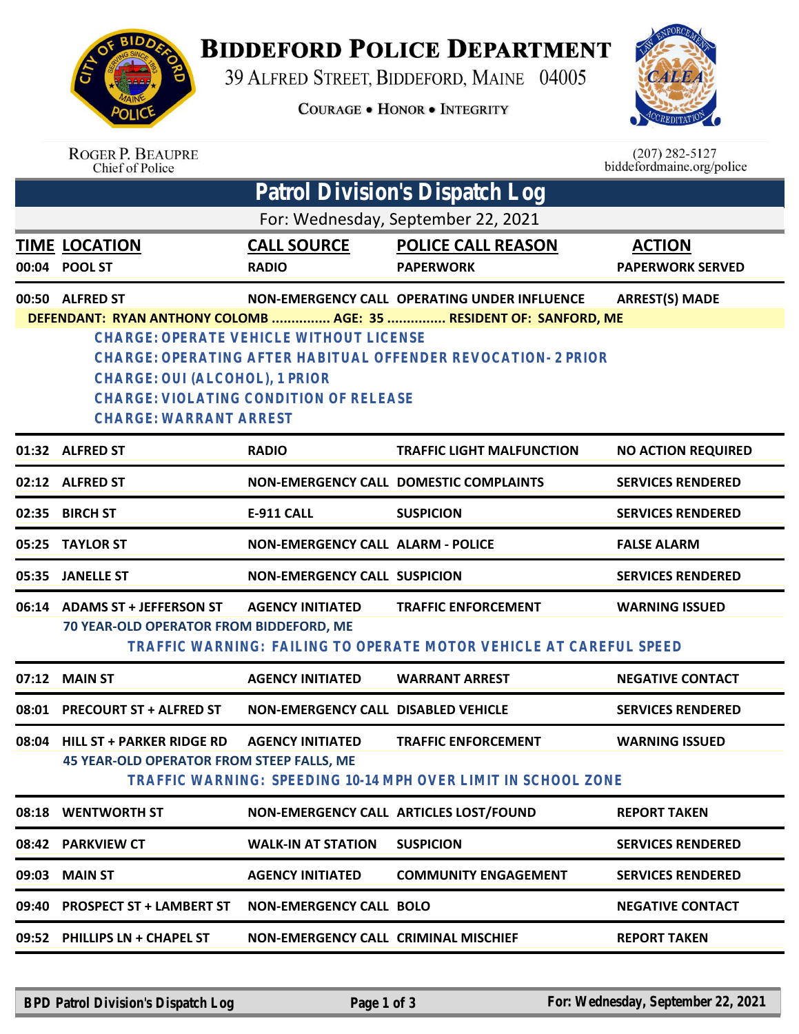## **BIDDEFORD POLICE DEPARTMENT**

39 ALFRED STREET, BIDDEFORD, MAINE 04005



|       |                                                                                                                                                                    |                                                                                          | <b>COURAGE . HONOR . INTEGRITY</b>                                                               |                                               |
|-------|--------------------------------------------------------------------------------------------------------------------------------------------------------------------|------------------------------------------------------------------------------------------|--------------------------------------------------------------------------------------------------|-----------------------------------------------|
|       | <b>ROGER P. BEAUPRE</b><br>Chief of Police                                                                                                                         |                                                                                          |                                                                                                  | $(207)$ 282-5127<br>biddefordmaine.org/police |
|       |                                                                                                                                                                    |                                                                                          | Patrol Division's Dispatch Log                                                                   |                                               |
|       |                                                                                                                                                                    |                                                                                          | For: Wednesday, September 22, 2021                                                               |                                               |
|       | <u>TIME_LOCATION</u><br>00:04 POOL ST                                                                                                                              | <b>CALL SOURCE</b><br><b>RADIO</b>                                                       | <b>POLICE CALL REASON</b><br><b>PAPERWORK</b>                                                    | <b>ACTION</b><br><b>PAPERWORK SERVED</b>      |
|       | 00:50 ALFRED ST                                                                                                                                                    |                                                                                          | NON-EMERGENCY CALL OPERATING UNDER INFLUENCE                                                     | <b>ARREST(S) MADE</b>                         |
|       | <b>CHARGE: OPERATE VEHICLE WITHOUT LICENSE</b><br>CHARGE: OUI (ALCOHOL), 1 PRIOR<br><b>CHARGE: VIOLATING CONDITION OF RELEASE</b><br><b>CHARGE: WARRANT ARREST</b> | CHARGE: OPERATING AFTER HABITUAL OFFENDER REVOCATION- 2 PRIOR                            | DEFENDANT: RYAN ANTHONY COLOMB  AGE: 35  RESIDENT OF: SANFORD, ME                                |                                               |
|       | 01:32 ALFRED ST                                                                                                                                                    | <b>RADIO</b>                                                                             | <b>TRAFFIC LIGHT MALFUNCTION</b>                                                                 | <b>NO ACTION REQUIRED</b>                     |
|       | 02:12 ALFRED ST                                                                                                                                                    |                                                                                          | NON-EMERGENCY CALL DOMESTIC COMPLAINTS                                                           | <b>SERVICES RENDERED</b>                      |
| 02:35 | <b>BIRCH ST</b>                                                                                                                                                    | <b>E-911 CALL</b>                                                                        | <b>SUSPICION</b>                                                                                 | <b>SERVICES RENDERED</b>                      |
| 05:25 | <b>TAYLOR ST</b>                                                                                                                                                   | <b>NON-EMERGENCY CALL ALARM - POLICE</b>                                                 |                                                                                                  | <b>FALSE ALARM</b>                            |
| 05:35 | <b>JANELLE ST</b>                                                                                                                                                  | <b>NON-EMERGENCY CALL SUSPICION</b>                                                      |                                                                                                  | <b>SERVICES RENDERED</b>                      |
| 06:14 | <b>ADAMS ST + JEFFERSON ST</b><br>70 YEAR-OLD OPERATOR FROM BIDDEFORD, ME                                                                                          | <b>AGENCY INITIATED</b>                                                                  | <b>TRAFFIC ENFORCEMENT</b><br>TRAFFIC WARNING: FAILING TO OPERATE MOTOR VEHICLE AT CAREFUL SPEED | <b>WARNING ISSUED</b>                         |
| 07:12 | <b>MAIN ST</b>                                                                                                                                                     | <b>AGENCY INITIATED</b>                                                                  | <b>WARRANT ARREST</b>                                                                            | <b>NEGATIVE CONTACT</b>                       |
|       | 08:01 PRECOURT ST + ALFRED ST                                                                                                                                      | <b>NON-EMERGENCY CALL DISABLED VEHICLE</b>                                               |                                                                                                  | <b>SERVICES RENDERED</b>                      |
| 08:04 | <b>HILL ST + PARKER RIDGE RD</b><br><b>45 YEAR-OLD OPERATOR FROM STEEP FALLS, ME</b>                                                                               | <b>AGENCY INITIATED</b><br>TRAFFIC WARNING: SPEEDING 10-14 MPH OVER LIMIT IN SCHOOL ZONE | <b>TRAFFIC ENFORCEMENT</b>                                                                       | <b>WARNING ISSUED</b>                         |
|       | 08:18 WENTWORTH ST                                                                                                                                                 |                                                                                          | NON-EMERGENCY CALL ARTICLES LOST/FOUND                                                           | <b>REPORT TAKEN</b>                           |
|       | 08:42 PARKVIEW CT                                                                                                                                                  | <b>WALK-IN AT STATION</b>                                                                | <b>SUSPICION</b>                                                                                 | <b>SERVICES RENDERED</b>                      |
|       | 09:03 MAIN ST                                                                                                                                                      | <b>AGENCY INITIATED</b>                                                                  | <b>COMMUNITY ENGAGEMENT</b>                                                                      | <b>SERVICES RENDERED</b>                      |
|       | 09:40 PROSPECT ST + LAMBERT ST                                                                                                                                     | <b>NON-EMERGENCY CALL BOLO</b>                                                           |                                                                                                  | <b>NEGATIVE CONTACT</b>                       |
|       | 09:52 PHILLIPS LN + CHAPEL ST                                                                                                                                      | NON-EMERGENCY CALL CRIMINAL MISCHIEF                                                     |                                                                                                  | <b>REPORT TAKEN</b>                           |
|       |                                                                                                                                                                    |                                                                                          |                                                                                                  |                                               |
|       |                                                                                                                                                                    |                                                                                          |                                                                                                  |                                               |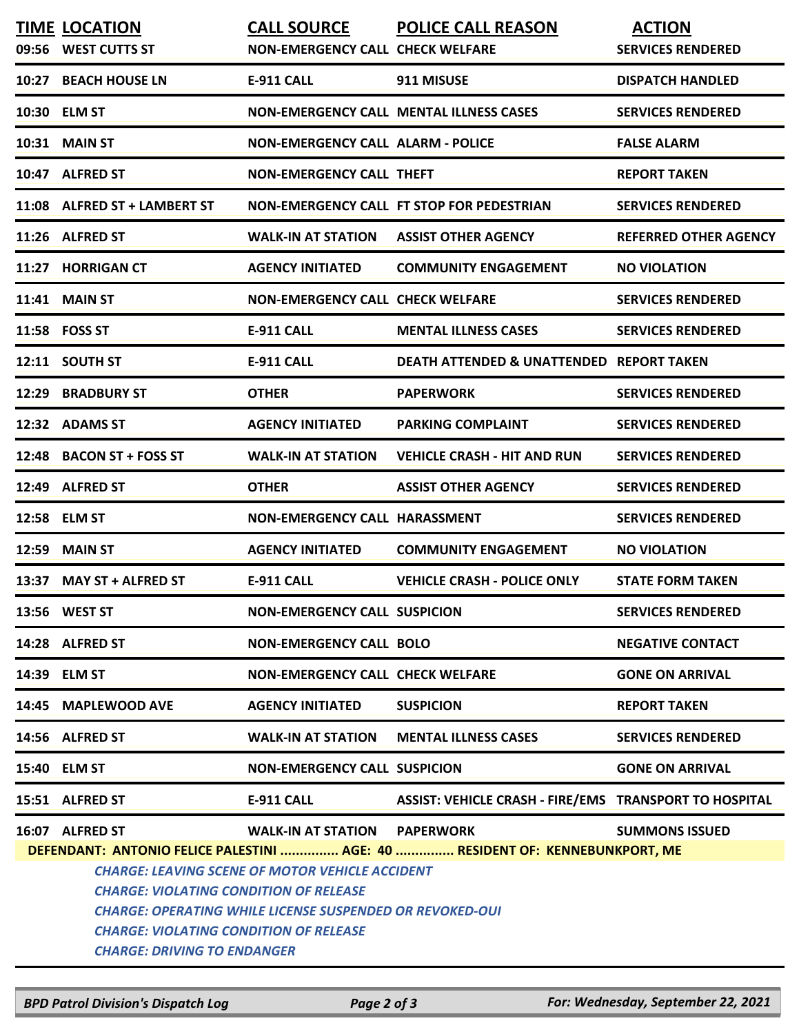| 09:56 | <b>TIME LOCATION</b><br><b>WEST CUTTS ST</b>                                                                                                                                                                                                                                                                                                      | <b>CALL SOURCE</b><br><b>NON-EMERGENCY CALL CHECK WELFARE</b> | <b>POLICE CALL REASON</b>                              | <b>ACTION</b><br><b>SERVICES RENDERED</b> |  |  |  |  |
|-------|---------------------------------------------------------------------------------------------------------------------------------------------------------------------------------------------------------------------------------------------------------------------------------------------------------------------------------------------------|---------------------------------------------------------------|--------------------------------------------------------|-------------------------------------------|--|--|--|--|
| 10:27 | <b>BEACH HOUSE LN</b>                                                                                                                                                                                                                                                                                                                             | <b>E-911 CALL</b>                                             | 911 MISUSE                                             | <b>DISPATCH HANDLED</b>                   |  |  |  |  |
|       | 10:30 ELM ST                                                                                                                                                                                                                                                                                                                                      |                                                               | <b>NON-EMERGENCY CALL MENTAL ILLNESS CASES</b>         | <b>SERVICES RENDERED</b>                  |  |  |  |  |
| 10:31 | <b>MAIN ST</b>                                                                                                                                                                                                                                                                                                                                    | <b>NON-EMERGENCY CALL ALARM - POLICE</b>                      |                                                        | <b>FALSE ALARM</b>                        |  |  |  |  |
|       | 10:47 ALFRED ST                                                                                                                                                                                                                                                                                                                                   | <b>NON-EMERGENCY CALL THEFT</b>                               |                                                        | <b>REPORT TAKEN</b>                       |  |  |  |  |
|       | 11:08 ALFRED ST + LAMBERT ST                                                                                                                                                                                                                                                                                                                      |                                                               | <b>NON-EMERGENCY CALL FT STOP FOR PEDESTRIAN</b>       | <b>SERVICES RENDERED</b>                  |  |  |  |  |
|       | 11:26 ALFRED ST                                                                                                                                                                                                                                                                                                                                   | <b>WALK-IN AT STATION</b>                                     | <b>ASSIST OTHER AGENCY</b>                             | <b>REFERRED OTHER AGENCY</b>              |  |  |  |  |
| 11:27 | <b>HORRIGAN CT</b>                                                                                                                                                                                                                                                                                                                                | <b>AGENCY INITIATED</b>                                       | <b>COMMUNITY ENGAGEMENT</b>                            | <b>NO VIOLATION</b>                       |  |  |  |  |
| 11:41 | <b>MAIN ST</b>                                                                                                                                                                                                                                                                                                                                    | <b>NON-EMERGENCY CALL CHECK WELFARE</b>                       |                                                        | <b>SERVICES RENDERED</b>                  |  |  |  |  |
|       | 11:58 FOSS ST                                                                                                                                                                                                                                                                                                                                     | <b>E-911 CALL</b>                                             | <b>MENTAL ILLNESS CASES</b>                            | <b>SERVICES RENDERED</b>                  |  |  |  |  |
|       | 12:11 SOUTH ST                                                                                                                                                                                                                                                                                                                                    | <b>E-911 CALL</b>                                             | <b>DEATH ATTENDED &amp; UNATTENDED REPORT TAKEN</b>    |                                           |  |  |  |  |
| 12:29 | <b>BRADBURY ST</b>                                                                                                                                                                                                                                                                                                                                | <b>OTHER</b>                                                  | <b>PAPERWORK</b>                                       | <b>SERVICES RENDERED</b>                  |  |  |  |  |
|       | 12:32 ADAMS ST                                                                                                                                                                                                                                                                                                                                    | <b>AGENCY INITIATED</b>                                       | <b>PARKING COMPLAINT</b>                               | <b>SERVICES RENDERED</b>                  |  |  |  |  |
| 12:48 | <b>BACON ST + FOSS ST</b>                                                                                                                                                                                                                                                                                                                         | <b>WALK-IN AT STATION</b>                                     | <b>VEHICLE CRASH - HIT AND RUN</b>                     | <b>SERVICES RENDERED</b>                  |  |  |  |  |
|       | 12:49 ALFRED ST                                                                                                                                                                                                                                                                                                                                   | <b>OTHER</b>                                                  | <b>ASSIST OTHER AGENCY</b>                             | <b>SERVICES RENDERED</b>                  |  |  |  |  |
|       | 12:58 ELM ST                                                                                                                                                                                                                                                                                                                                      | <b>NON-EMERGENCY CALL HARASSMENT</b>                          |                                                        | <b>SERVICES RENDERED</b>                  |  |  |  |  |
| 12:59 | <b>MAIN ST</b>                                                                                                                                                                                                                                                                                                                                    | <b>AGENCY INITIATED</b>                                       | <b>COMMUNITY ENGAGEMENT</b>                            | <b>NO VIOLATION</b>                       |  |  |  |  |
| 13:37 | <b>MAY ST + ALFRED ST</b>                                                                                                                                                                                                                                                                                                                         | <b>E-911 CALL</b>                                             | <b>VEHICLE CRASH - POLICE ONLY</b>                     | <b>STATE FORM TAKEN</b>                   |  |  |  |  |
|       | 13:56 WEST ST                                                                                                                                                                                                                                                                                                                                     | <b>NON-EMERGENCY CALL SUSPICION</b>                           |                                                        | <b>SERVICES RENDERED</b>                  |  |  |  |  |
|       | 14:28 ALFRED ST                                                                                                                                                                                                                                                                                                                                   | <b>NON-EMERGENCY CALL BOLO</b>                                |                                                        | <b>NEGATIVE CONTACT</b>                   |  |  |  |  |
|       | 14:39 ELM ST                                                                                                                                                                                                                                                                                                                                      | <b>NON-EMERGENCY CALL CHECK WELFARE</b>                       |                                                        | <b>GONE ON ARRIVAL</b>                    |  |  |  |  |
|       | 14:45 MAPLEWOOD AVE                                                                                                                                                                                                                                                                                                                               | <b>AGENCY INITIATED</b>                                       | <b>SUSPICION</b>                                       | <b>REPORT TAKEN</b>                       |  |  |  |  |
|       | 14:56 ALFRED ST                                                                                                                                                                                                                                                                                                                                   | <b>WALK-IN AT STATION</b>                                     | <b>MENTAL ILLNESS CASES</b>                            | <b>SERVICES RENDERED</b>                  |  |  |  |  |
|       | 15:40 ELM ST                                                                                                                                                                                                                                                                                                                                      | <b>NON-EMERGENCY CALL SUSPICION</b>                           |                                                        | <b>GONE ON ARRIVAL</b>                    |  |  |  |  |
|       | 15:51 ALFRED ST                                                                                                                                                                                                                                                                                                                                   | <b>E-911 CALL</b>                                             | ASSIST: VEHICLE CRASH - FIRE/EMS TRANSPORT TO HOSPITAL |                                           |  |  |  |  |
|       | 16:07 ALFRED ST                                                                                                                                                                                                                                                                                                                                   | <b>WALK-IN AT STATION PAPERWORK</b>                           |                                                        | <b>SUMMONS ISSUED</b>                     |  |  |  |  |
|       | DEFENDANT: ANTONIO FELICE PALESTINI  AGE: 40  RESIDENT OF: KENNEBUNKPORT, ME<br><b>CHARGE: LEAVING SCENE OF MOTOR VEHICLE ACCIDENT</b><br><b>CHARGE: VIOLATING CONDITION OF RELEASE</b><br><b>CHARGE: OPERATING WHILE LICENSE SUSPENDED OR REVOKED-OUI</b><br><b>CHARGE: VIOLATING CONDITION OF RELEASE</b><br><b>CHARGE: DRIVING TO ENDANGER</b> |                                                               |                                                        |                                           |  |  |  |  |